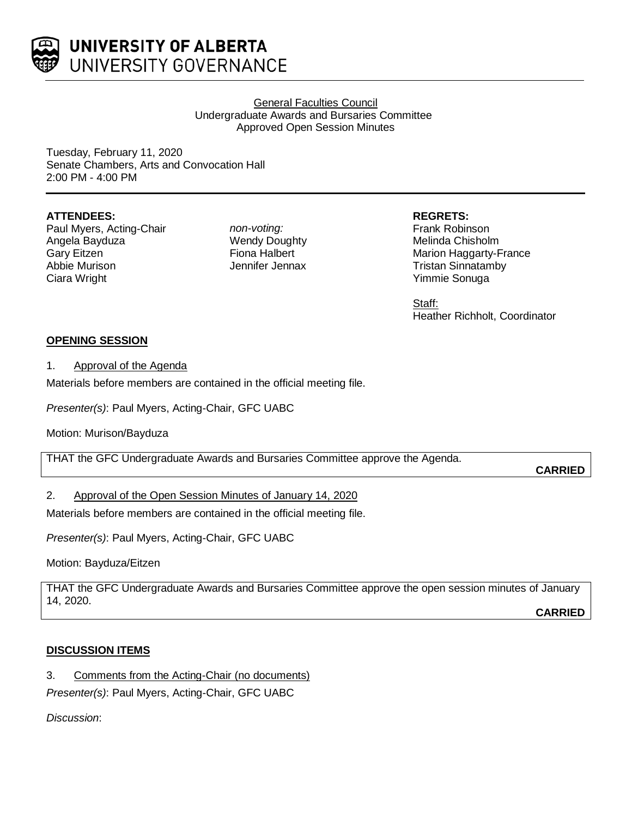

UNIVERSITY OF ALBERTA UNIVERSITY GOVERNANCE

# General Faculties Council Undergraduate Awards and Bursaries Committee Approved Open Session Minutes

Tuesday, February 11, 2020 Senate Chambers, Arts and Convocation Hall 2:00 PM - 4:00 PM

# **ATTENDEES:**

Paul Myers, Acting-Chair Angela Bayduza Gary Eitzen Abbie Murison Ciara Wright

*non-voting:* Wendy Doughty Fiona Halbert Jennifer Jennax

# **REGRETS:**

Frank Robinson Melinda Chisholm Marion Haggarty-France Tristan Sinnatamby Yimmie Sonuga

Staff: Heather Richholt, Coordinator

# **OPENING SESSION**

1. Approval of the Agenda

Materials before members are contained in the official meeting file.

*Presenter(s)*: Paul Myers, Acting-Chair, GFC UABC

Motion: Murison/Bayduza

THAT the GFC Undergraduate Awards and Bursaries Committee approve the Agenda.

**CARRIED**

# 2. Approval of the Open Session Minutes of January 14, 2020

Materials before members are contained in the official meeting file.

*Presenter(s)*: Paul Myers, Acting-Chair, GFC UABC

Motion: Bayduza/Eitzen

THAT the GFC Undergraduate Awards and Bursaries Committee approve the open session minutes of January 14, 2020.

**CARRIED**

# **DISCUSSION ITEMS**

3. Comments from the Acting-Chair (no documents)

*Presenter(s)*: Paul Myers, Acting-Chair, GFC UABC

*Discussion*: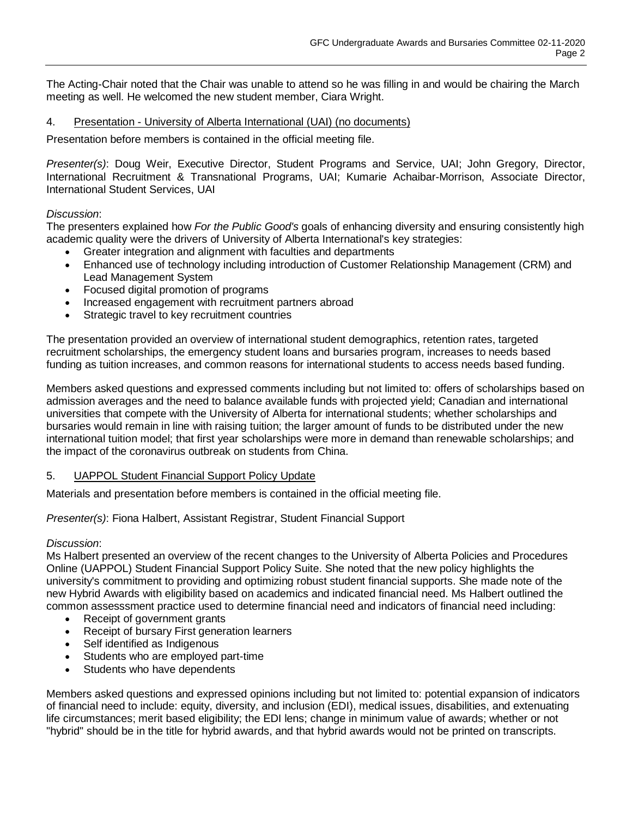The Acting-Chair noted that the Chair was unable to attend so he was filling in and would be chairing the March meeting as well. He welcomed the new student member, Ciara Wright.

# 4. Presentation - University of Alberta International (UAI) (no documents)

Presentation before members is contained in the official meeting file.

*Presenter(s)*: Doug Weir, Executive Director, Student Programs and Service, UAI; John Gregory, Director, International Recruitment & Transnational Programs, UAI; Kumarie Achaibar-Morrison, Associate Director, International Student Services, UAI

## *Discussion*:

The presenters explained how *For the Public Good's* goals of enhancing diversity and ensuring consistently high academic quality were the drivers of University of Alberta International's key strategies:

- Greater integration and alignment with faculties and departments
- Enhanced use of technology including introduction of Customer Relationship Management (CRM) and Lead Management System
- Focused digital promotion of programs
- Increased engagement with recruitment partners abroad
- Strategic travel to key recruitment countries

The presentation provided an overview of international student demographics, retention rates, targeted recruitment scholarships, the emergency student loans and bursaries program, increases to needs based funding as tuition increases, and common reasons for international students to access needs based funding.

Members asked questions and expressed comments including but not limited to: offers of scholarships based on admission averages and the need to balance available funds with projected yield; Canadian and international universities that compete with the University of Alberta for international students; whether scholarships and bursaries would remain in line with raising tuition; the larger amount of funds to be distributed under the new international tuition model; that first year scholarships were more in demand than renewable scholarships; and the impact of the coronavirus outbreak on students from China.

## 5. UAPPOL Student Financial Support Policy Update

Materials and presentation before members is contained in the official meeting file.

# *Presenter(s)*: Fiona Halbert, Assistant Registrar, Student Financial Support

## *Discussion*:

Ms Halbert presented an overview of the recent changes to the University of Alberta Policies and Procedures Online (UAPPOL) Student Financial Support Policy Suite. She noted that the new policy highlights the university's commitment to providing and optimizing robust student financial supports. She made note of the new Hybrid Awards with eligibility based on academics and indicated financial need. Ms Halbert outlined the common assesssment practice used to determine financial need and indicators of financial need including:

- Receipt of government grants
- Receipt of bursary First generation learners
- Self identified as Indigenous
- Students who are employed part-time
- Students who have dependents

Members asked questions and expressed opinions including but not limited to: potential expansion of indicators of financial need to include: equity, diversity, and inclusion (EDI), medical issues, disabilities, and extenuating life circumstances; merit based eligibility; the EDI lens; change in minimum value of awards; whether or not "hybrid" should be in the title for hybrid awards, and that hybrid awards would not be printed on transcripts.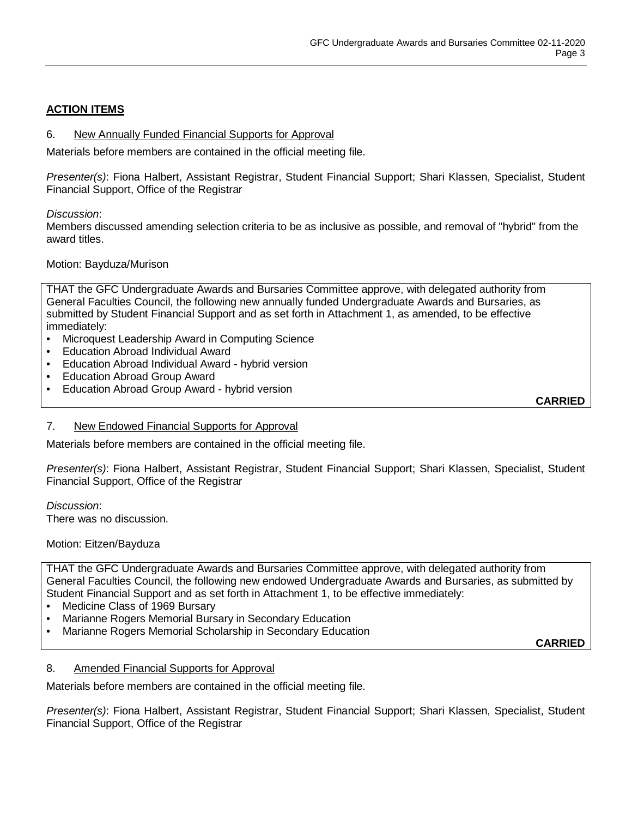# **ACTION ITEMS**

#### 6. New Annually Funded Financial Supports for Approval

Materials before members are contained in the official meeting file.

*Presenter(s)*: Fiona Halbert, Assistant Registrar, Student Financial Support; Shari Klassen, Specialist, Student Financial Support, Office of the Registrar

#### *Discussion*:

Members discussed amending selection criteria to be as inclusive as possible, and removal of "hybrid" from the award titles.

#### Motion: Bayduza/Murison

THAT the GFC Undergraduate Awards and Bursaries Committee approve, with delegated authority from General Faculties Council, the following new annually funded Undergraduate Awards and Bursaries, as submitted by Student Financial Support and as set forth in Attachment 1, as amended, to be effective immediately:

- Microquest Leadership Award in Computing Science
- Education Abroad Individual Award
- Education Abroad Individual Award hybrid version
- Education Abroad Group Award
- Education Abroad Group Award hybrid version

**CARRIED**

#### 7. New Endowed Financial Supports for Approval

Materials before members are contained in the official meeting file.

*Presenter(s)*: Fiona Halbert, Assistant Registrar, Student Financial Support; Shari Klassen, Specialist, Student Financial Support, Office of the Registrar

*Discussion*: There was no discussion.

#### Motion: Eitzen/Bayduza

THAT the GFC Undergraduate Awards and Bursaries Committee approve, with delegated authority from General Faculties Council, the following new endowed Undergraduate Awards and Bursaries, as submitted by Student Financial Support and as set forth in Attachment 1, to be effective immediately:

- Medicine Class of 1969 Bursary
- Marianne Rogers Memorial Bursary in Secondary Education
- Marianne Rogers Memorial Scholarship in Secondary Education

**CARRIED**

## 8. Amended Financial Supports for Approval

Materials before members are contained in the official meeting file.

*Presenter(s)*: Fiona Halbert, Assistant Registrar, Student Financial Support; Shari Klassen, Specialist, Student Financial Support, Office of the Registrar